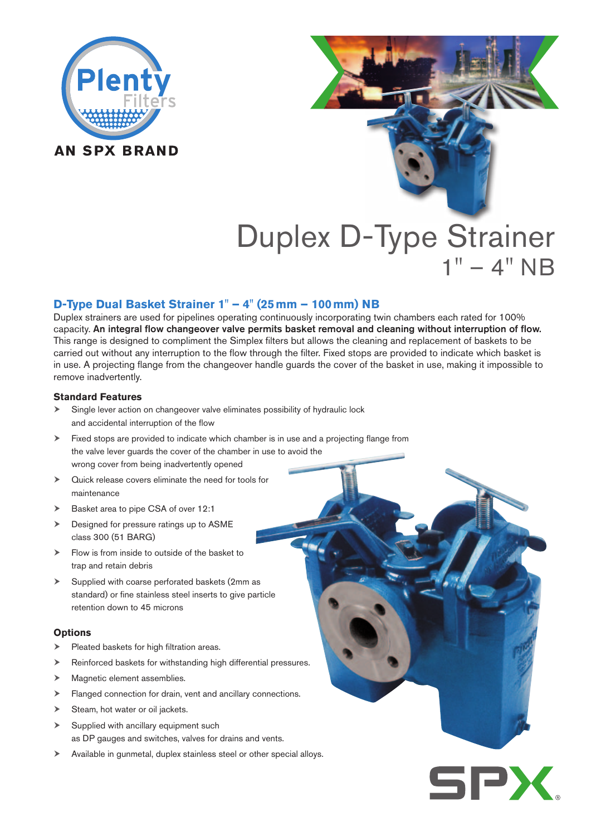

# Duplex D-Type Strainer  $1" - 4" NB$

# **D-Type Dual Basket Strainer 1" – 4" (25mm – 100mm) NB**

Duplex strainers are used for pipelines operating continuously incorporating twin chambers each rated for 100% capacity. An integral flow changeover valve permits basket removal and cleaning without interruption of flow. This range is designed to compliment the Simplex filters but allows the cleaning and replacement of baskets to be carried out without any interruption to the flow through the filter. Fixed stops are provided to indicate which basket is in use. A projecting flange from the changeover handle guards the cover of the basket in use, making it impossible to remove inadvertently.

## **Standard Features**

- Single lever action on changeover valve eliminates possibility of hydraulic lock and accidental interruption of the flow
- Fixed stops are provided to indicate which chamber is in use and a projecting flange from the valve lever guards the cover of the chamber in use to avoid the wrong cover from being inadvertently opened
- Quick release covers eliminate the need for tools for maintenance
- Basket area to pipe CSA of over 12:1
- Designed for pressure ratings up to ASME class 300 (51 BARG)
- $\blacktriangleright$  Flow is from inside to outside of the basket to trap and retain debris
- $\triangleright$  Supplied with coarse perforated baskets (2mm as standard) or fine stainless steel inserts to give particle retention down to 45 microns

#### **Options**

- Pleated baskets for high filtration areas.
- Reinforced baskets for withstanding high differential pressures.
- > Magnetic element assemblies.
- Flanged connection for drain, vent and ancillary connections.
- $\triangleright$  Steam, hot water or oil jackets.
- $\triangleright$  Supplied with ancillary equipment such as DP gauges and switches, valves for drains and vents.
- Available in gunmetal, duplex stainless steel or other special alloys.